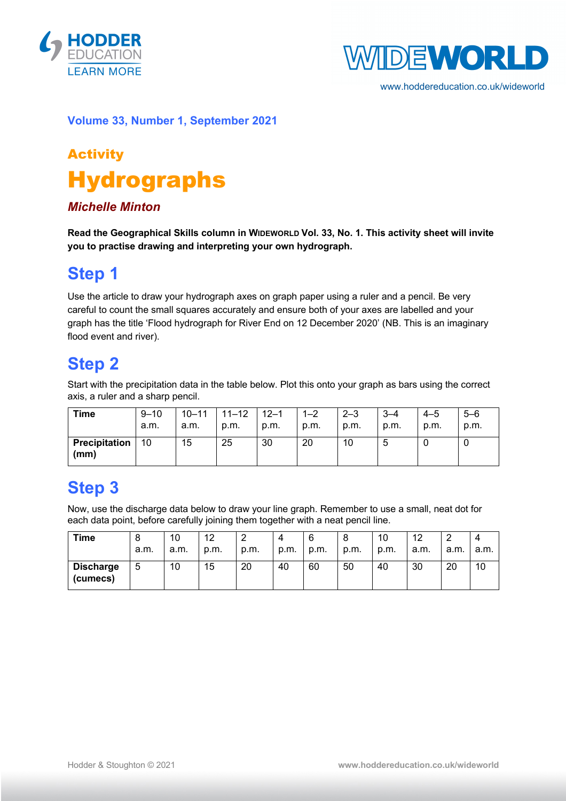



www.hoddereducation.co.uk/wideworld

#### **Volume 33, Number 1, September 2021**

# Activity Hydrographs

#### *Michelle Minton*

**Read the Geographical Skills column in WIDEWORLD Vol. 33, No. 1. This activity sheet will invite you to practise drawing and interpreting your own hydrograph.**

### **Step 1**

Use the article to draw your hydrograph axes on graph paper using a ruler and a pencil. Be very careful to count the small squares accurately and ensure both of your axes are labelled and your graph has the title 'Flood hydrograph for River End on 12 December 2020' (NB. This is an imaginary flood event and river).

## **Step 2**

Start with the precipitation data in the table below. Plot this onto your graph as bars using the correct axis, a ruler and a sharp pencil.

| <b>Time</b>                  | $9 - 10$<br>a.m. | a.m. | $10 - 11$   11-12<br>p.m. | $12 - 1$<br>p.m. | $1 - 2$<br>p.m. | $2 - 3$<br>p.m. | $3 - 4$<br>p.m. | $4 - 5$<br>p.m. | $5 - 6$<br>p.m. |
|------------------------------|------------------|------|---------------------------|------------------|-----------------|-----------------|-----------------|-----------------|-----------------|
| <b>Precipitation</b><br>(mm) | 10               | 15   | 25                        | 30               | 20              | 10              |                 |                 |                 |

### **Step 3**

Now, use the discharge data below to draw your line graph. Remember to use a small, neat dot for each data point, before carefully joining them together with a neat pencil line.

| <b>Time</b>                  | O<br>a.m. | 10<br>a.m. | 12<br>p.m. | ◠<br>←<br>p.m. | 4<br>p.m. | 6<br>p.m. | O<br>p.m. | 10<br>p.m. | 12<br>a.m. | _<br>a.m. | a.m. |
|------------------------------|-----------|------------|------------|----------------|-----------|-----------|-----------|------------|------------|-----------|------|
| <b>Discharge</b><br>(cumecs) | 5         | 10         | 15         | 20             | 40        | 60        | 50        | 40         | 30         | 20        | 10   |